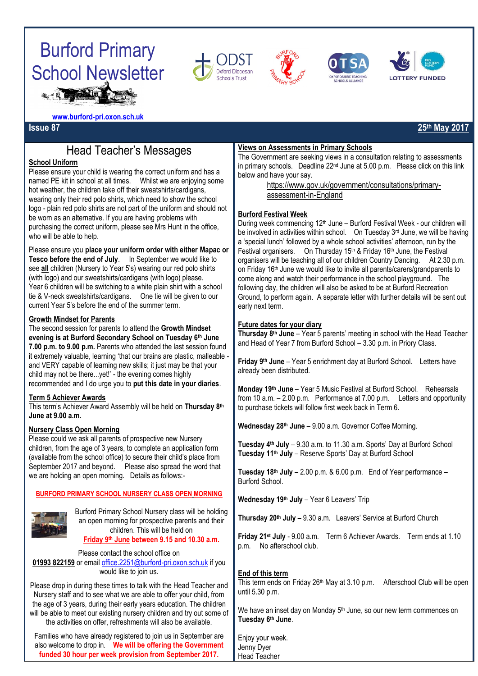









**[www.burford-pri.oxon.sch.uk](http://www.burford-pri.oxon.sch.uk/)**

## Head Teacher's Messages

### **School Uniform**

Please ensure your child is wearing the correct uniform and has a named PE kit in school at all times. Whilst we are enjoying some hot weather, the children take off their sweatshirts/cardigans, wearing only their red polo shirts, which need to show the school logo - plain red polo shirts are not part of the uniform and should not be worn as an alternative. If you are having problems with purchasing the correct uniform, please see Mrs Hunt in the office, who will be able to help.

Please ensure you **place your uniform order with either Mapac or Tesco before the end of July**. In September we would like to see **all** children (Nursery to Year 5's) wearing our red polo shirts (with logo) and our sweatshirts/cardigans (with logo) please. Year 6 children will be switching to a white plain shirt with a school tie & V-neck sweatshirts/cardigans. One tie will be given to our current Year 5's before the end of the summer term. Ì

### **Growth Mindset for Parents**

The second session for parents to attend the **Growth Mindset evening is at Burford Secondary School on Tuesday 6th June 7.00 p.m. to 9.00 p.m.** Parents who attended the last session found it extremely valuable, learning 'that our brains are plastic, malleable and VERY capable of learning new skills; it just may be that your child may not be there...yet!' - the evening comes highly recommended and I do urge you to **put this date in your diaries**.

### **Term 5 Achiever Awards**

This term's Achiever Award Assembly will be held on **Thursday 8th June at 9.00 a.m.** j

### **Nursery Class Open Morning**

Please could we ask all parents of prospective new Nursery children, from the age of 3 years, to complete an application form (available from the school office) to secure their child's place from September 2017 and beyond. Please also spread the word that we are holding an open morning. Details as follows:-

### **BURFORD PRIMARY SCHOOL NURSERY CLASS OPEN MORNING**



Burford Primary School Nursery class will be holding an open morning for prospective parents and their children. This will be held on **Friday 9th June between 9.15 and 10.30 a.m.**

Please contact the school office on **01993 822159** or email [office.2251@burford-pri.oxon.sch.uk](mailto:office.2251@burford-pri.oxon.sch.uk) if you would like to join us.

Please drop in during these times to talk with the Head Teacher and Nursery staff and to see what we are able to offer your child, from the age of 3 years, during their early years education. The children will be able to meet our existing nursery children and try out some of the activities on offer, refreshments will also be available.

Families who have already registered to join us in September are also welcome to drop in. **We will be offering the Government funded 30 hour per week provision from September 2017.**

#### **Views on Assessments in Primary Schools**

The Government are seeking views in a consultation relating to assessments in primary schools. Deadline 22nd June at 5.00 p.m. Please click on this link below and have your say.

> [https://www.gov.uk/government/consultations/primary](https://www.gov.uk/government/consultations/primary-assessment-in-england)[assessment-in-England](https://www.gov.uk/government/consultations/primary-assessment-in-england)

### **Burford Festival Week**

During week commencing 12<sup>th</sup> June – Burford Festival Week - our children will be involved in activities within school. On Tuesday 3<sup>rd</sup> June, we will be having a 'special lunch' followed by a whole school activities' afternoon, run by the Festival organisers. On Thursday 15<sup>th</sup> & Friday 16<sup>th</sup> June, the Festival organisers will be teaching all of our children Country Dancing. At 2.30 p.m. on Friday 16th June we would like to invite all parents/carers/grandparents to come along and watch their performance in the school playground. The following day, the children will also be asked to be at Burford Recreation Ground, to perform again. A separate letter with further details will be sent out early next term.

### **Future dates for your diary**

**Thursday 8th June** – Year 5 parents' meeting in school with the Head Teacher and Head of Year 7 from Burford School – 3.30 p.m. in Priory Class.

**Friday 9th June** – Year 5 enrichment day at Burford School. Letters have already been distributed.

**Monday 19th June** – Year 5 Music Festival at Burford School. Rehearsals from 10 a.m. – 2.00 p.m. Performance at 7.00 p.m. Letters and opportunity to purchase tickets will follow first week back in Term 6.

**Wednesday 28th June** – 9.00 a.m. Governor Coffee Morning.

**Tuesday 4th July** – 9.30 a.m. to 11.30 a.m. Sports' Day at Burford School **Tuesday 11th July** – Reserve Sports' Day at Burford School

**Tuesday 18th July** – 2.00 p.m. & 6.00 p.m. End of Year performance – Burford School.

**Wednesday 19th July** – Year 6 Leavers' Trip

**Thursday 20th July** – 9.30 a.m. Leavers' Service at Burford Church

**Friday 21st July** - 9.00 a.m. Term 6 Achiever Awards. Term ends at 1.10 p.m. No afterschool club.

### **End of this term**

This term ends on Friday 26<sup>th</sup> May at 3.10 p.m. Afterschool Club will be open until 5.30 p.m.

We have an inset day on Monday 5<sup>th</sup> June, so our new term commences on **Tuesday 6th June**.

Enjoy your week. Jenny Dyer Head Teacher

**Issue 87 25th May 2017**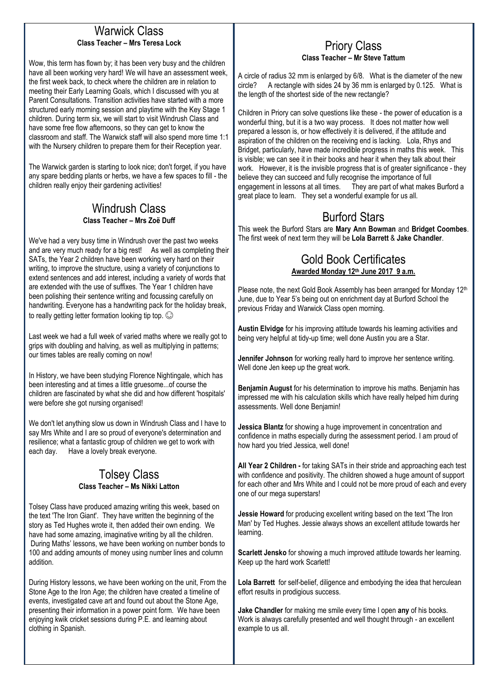### Warwick Class **Class Teacher – Mrs Teresa Lock**

Wow, this term has flown by; it has been very busy and the children have all been working very hard! We will have an assessment week, the first week back, to check where the children are in relation to meeting their Early Learning Goals, which I discussed with you at Parent Consultations. Transition activities have started with a more structured early morning session and playtime with the Key Stage 1 children. During term six, we will start to visit Windrush Class and have some free flow afternoons, so they can get to know the classroom and staff. The Warwick staff will also spend more time 1:1 with the Nursery children to prepare them for their Reception year.

The Warwick garden is starting to look nice; don't forget, if you have any spare bedding plants or herbs, we have a few spaces to fill - the children really enjoy their gardening activities!

## Windrush Class **Class Teacher – Mrs Zoë Duff**

We've had a very busy time in Windrush over the past two weeks and are very much ready for a big rest! As well as completing their SATs, the Year 2 children have been working very hard on their writing, to improve the structure, using a variety of conjunctions to extend sentences and add interest, including a variety of words that are extended with the use of suffixes. The Year 1 children have been polishing their sentence writing and focussing carefully on handwriting. Everyone has a handwriting pack for the holiday break, to really getting letter formation looking tip top.  $\odot$ 

Last week we had a full week of varied maths where we really got to grips with doubling and halving, as well as multiplying in patterns; our times tables are really coming on now!

In History, we have been studying Florence Nightingale, which has been interesting and at times a little gruesome...of course the children are fascinated by what she did and how different 'hospitals' were before she got nursing organised!

We don't let anything slow us down in Windrush Class and I have to say Mrs White and I are so proud of everyone's determination and resilience; what a fantastic group of children we get to work with each day. Have a lovely break everyone.

## Tolsey Class **Class Teacher – Ms Nikki Latton**

Tolsey Class have produced amazing writing this week, based on the text 'The Iron Giant'. They have written the beginning of the story as Ted Hughes wrote it, then added their own ending. We have had some amazing, imaginative writing by all the children. During Maths' lessons, we have been working on number bonds to 100 and adding amounts of money using number lines and column addition.

During History lessons, we have been working on the unit, From the Stone Age to the Iron Age; the children have created a timeline of events, investigated cave art and found out about the Stone Age, presenting their information in a power point form. We have been enjoying kwik cricket sessions during P.E. and learning about clothing in Spanish.

### Priory Class **Class Teacher – Mr Steve Tattum**

A circle of radius 32 mm is enlarged by 6/8. What is the diameter of the new circle? A rectangle with sides 24 by 36 mm is enlarged by 0.125. What is the length of the shortest side of the new rectangle?

Children in Priory can solve questions like these - the power of education is a wonderful thing, but it is a two way process. It does not matter how well prepared a lesson is, or how effectively it is delivered, if the attitude and aspiration of the children on the receiving end is lacking. Lola, Rhys and Bridget, particularly, have made incredible progress in maths this week. This is visible; we can see it in their books and hear it when they talk about their work. However, it is the invisible progress that is of greater significance - they believe they can succeed and fully recognise the importance of full engagement in lessons at all times. They are part of what makes Burford a great place to learn. They set a wonderful example for us all.

# Burford Stars

This week the Burford Stars are **Mary Ann Bowman** and **Bridget Coombes**. The first week of next term they will be **Lola Barrett** & **Jake Chandler**.

## Gold Book Certificates **Awarded Monday 12th June 2017 9 a.m.**

Please note, the next Gold Book Assembly has been arranged for Monday 12<sup>th</sup> June, due to Year 5's being out on enrichment day at Burford School the previous Friday and Warwick Class open morning.

**Austin Elvidge** for his improving attitude towards his learning activities and being very helpful at tidy-up time; well done Austin you are a Star.

**Jennifer Johnson** for working really hard to improve her sentence writing. Well done Jen keep up the great work.

**Benjamin August** for his determination to improve his maths. Benjamin has impressed me with his calculation skills which have really helped him during assessments. Well done Benjamin!

**Jessica Blantz** for showing a huge improvement in concentration and confidence in maths especially during the assessment period. I am proud of how hard you tried Jessica, well done!

**All Year 2 Children -** for taking SATs in their stride and approaching each test with confidence and positivity. The children showed a huge amount of support for each other and Mrs White and I could not be more proud of each and every one of our mega superstars!

**Jessie Howard** for producing excellent writing based on the text 'The Iron Man' by Ted Hughes. Jessie always shows an excellent attitude towards her learning.

**Scarlett Jensko** for showing a much improved attitude towards her learning. Keep up the hard work Scarlett!

**Lola Barrett** for self-belief, diligence and embodying the idea that herculean effort results in prodigious success.

**Jake Chandler** for making me smile every time I open **any** of his books. Work is always carefully presented and well thought through - an excellent example to us all.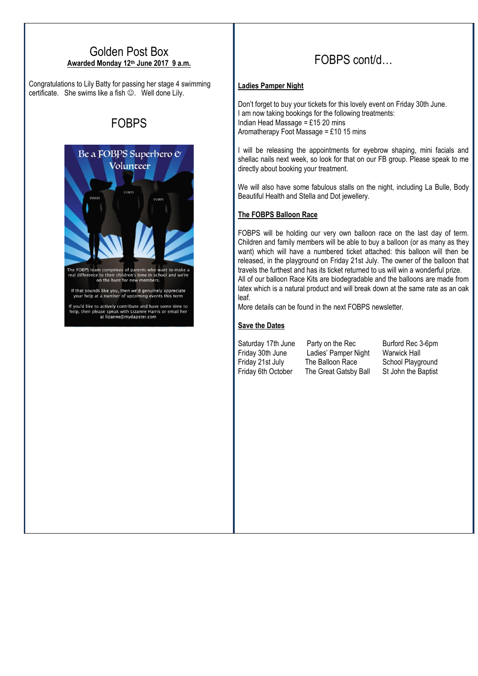### Golden Post Box **Awarded Monday 12th June 2017 9 a.m.**

Congratulations to Lily Batty for passing her stage 4 swimming certificate. She swims like a fish  $\odot$ . Well done Lily.

# FOBPS



The FOBPS team comprises of parents who want to make a<br>real difference to their children's time in school and we're<br>on the hunt for new members.

If that sounds like you, then we'd genuinely appreciate<br>your help at a number of upcoming events this term

If you'd like to actively contribute and have some time to<br>help, then please speak with Lizanne Harris or email her<br>at lizanne@mydapster.com

# FOBPS cont/d…

### **Ladies Pamper Night**

Don't forget to buy your tickets for this lovely event on Friday 30th June. I am now taking bookings for the following treatments: Indian Head Massage =  $£15$  20 mins Aromatherapy Foot Massage = £10 15 mins

I will be releasing the appointments for eyebrow shaping, mini facials and shellac nails next week, so look for that on our FB group. Please speak to me directly about booking your treatment.

We will also have some fabulous stalls on the night, including La Bulle, Body Beautiful Health and Stella and Dot jewellery.

### **The FOBPS Balloon Race**

FOBPS will be holding our very own balloon race on the last day of term. Children and family members will be able to buy a balloon (or as many as they want) which will have a numbered ticket attached: this balloon will then be released, in the playground on Friday 21st July. The owner of the balloon that travels the furthest and has its ticket returned to us will win a wonderful prize. All of our balloon Race Kits are biodegradable and the balloons are made from latex which is a natural product and will break down at the same rate as an oak leaf.

More details can be found in the next FOBPS newsletter.

### **Save the Dates**

Friday 30th June Ladies' Pamper Night Warwick Hall Friday 21st July The Balloon Race School Playground Friday 6th October The Great Gatsby Ball St John the Baptist

Saturday 17th June Party on the Rec Burford Rec 3-6pm